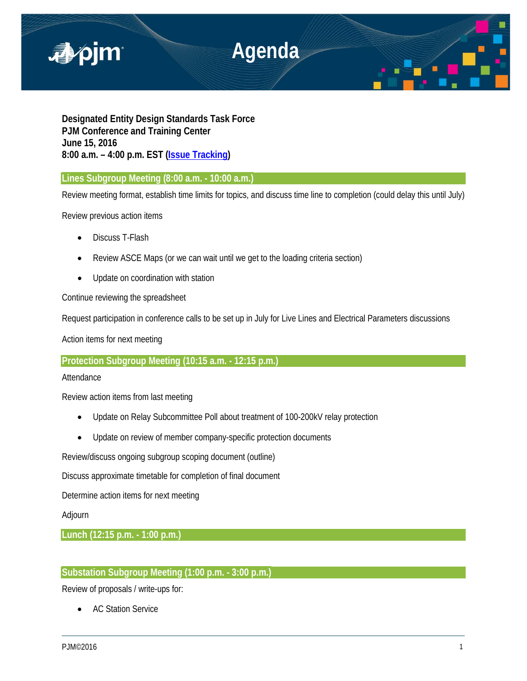

**Designated Entity Design Standards Task Force PJM Conference and Training Center June 15, 2016 8:00 a.m. – 4:00 p.m. EST [\(Issue Tracking\)](http://www.pjm.com/committees-and-groups/issue-tracking/issue-tracking-details.aspx?Issue=%7bE6133A76-DEC6-49DD-89E3-F5ECC642EA67%7d)**

**Lines Subgroup Meeting (8:00 a.m. - 10:00 a.m.)** 

Review meeting format, establish time limits for topics, and discuss time line to completion (could delay this until July)

Review previous action items

- Discuss T-Flash
- Review ASCE Maps (or we can wait until we get to the loading criteria section)
- Update on coordination with station

Continue reviewing the spreadsheet

Request participation in conference calls to be set up in July for Live Lines and Electrical Parameters discussions

Action items for next meeting

**Protection Subgroup Meeting (10:15 a.m. - 12:15 p.m.)** 

Attendance

Review action items from last meeting

- Update on Relay Subcommittee Poll about treatment of 100-200kV relay protection
- Update on review of member company-specific protection documents

Review/discuss ongoing subgroup scoping document (outline)

Discuss approximate timetable for completion of final document

Determine action items for next meeting

## Adjourn

**Lunch (12:15 p.m. - 1:00 p.m.)** 

# **Substation Subgroup Meeting (1:00 p.m. - 3:00 p.m.)**

Review of proposals / write-ups for:

• AC Station Service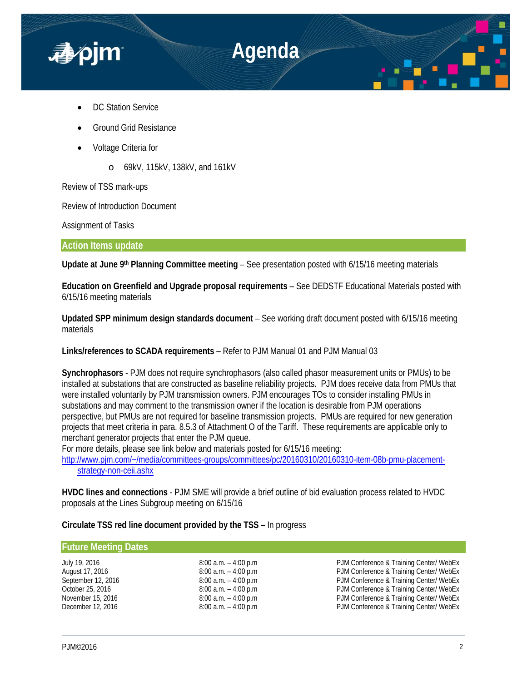

- DC Station Service
- Ground Grid Resistance
- Voltage Criteria for
	- o 69kV, 115kV, 138kV, and 161kV

Review of TSS mark-ups

Review of Introduction Document

Assignment of Tasks

**Action Items update**

**Update at June 9th Planning Committee meeting** – See presentation posted with 6/15/16 meeting materials

**Education on Greenfield and Upgrade proposal requirements** – See DEDSTF Educational Materials posted with 6/15/16 meeting materials

**Updated SPP minimum design standards document** – See working draft document posted with 6/15/16 meeting materials

**Links/references to SCADA requirements** – Refer to PJM Manual 01 and PJM Manual 03

**Synchrophasors** - PJM does not require synchrophasors (also called phasor measurement units or PMUs) to be installed at substations that are constructed as baseline reliability projects. PJM does receive data from PMUs that were installed voluntarily by PJM transmission owners. PJM encourages TOs to consider installing PMUs in substations and may comment to the transmission owner if the location is desirable from PJM operations perspective, but PMUs are not required for baseline transmission projects. PMUs are required for new generation projects that meet criteria in para. 8.5.3 of Attachment O of the Tariff. These requirements are applicable only to merchant generator projects that enter the PJM queue.

For more details, please see link below and materials posted for 6/15/16 meeting:

[http://www.pjm.com/~/media/committees-groups/committees/pc/20160310/20160310-item-08b-pmu-placement](http://www.pjm.com/%7E/media/committees-groups/committees/pc/20160310/20160310-item-08b-pmu-placement-strategy-non-ceii.ashx)[strategy-non-ceii.ashx](http://www.pjm.com/%7E/media/committees-groups/committees/pc/20160310/20160310-item-08b-pmu-placement-strategy-non-ceii.ashx)

**HVDC lines and connections** - PJM SME will provide a brief outline of bid evaluation process related to HVDC proposals at the Lines Subgroup meeting on 6/15/16

**Circulate TSS red line document provided by the TSS** – In progress

### **Future Meeting Dates**

July 19, 2016 8:00 a.m. – 4:00 p.m PJM Conference & Training Center/ WebEx PJM Conference & Training Center/ WebEx September 12, 2016 **8:00 a.m.** – 4:00 p.m **PJM Conference & Training Center/ WebEx** October 25, 2016 **8:00 a.m.** – 4:00 p.m PJM Conference & Training Center/ WebEx<br>
8:00 a.m. – 4:00 p.m PJM Conference & Training Center/ WebEx November 15, 2016 8:00 a.m. – 4:00 p.m PJM Conference & Training Center/ WebEx PJM Conference & Training Center/ WebEx